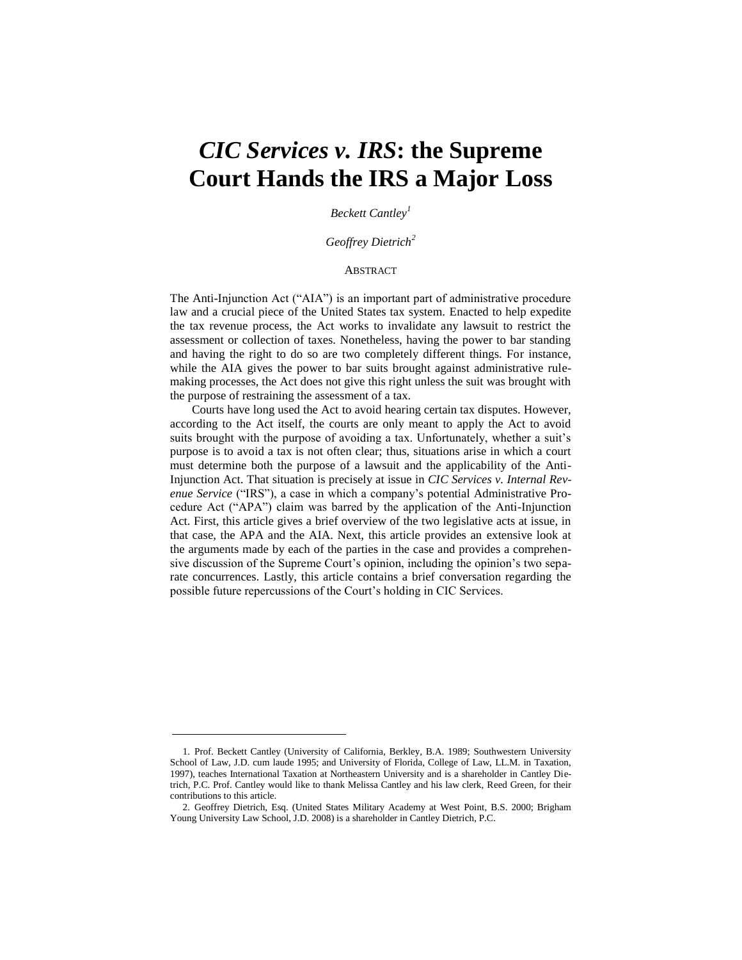# *CIC Services v. IRS***: the Supreme Court Hands the IRS a Major Loss**

*Beckett Cantley<sup>1</sup>*

*Geoffrey Dietrich<sup>2</sup>*

#### ABSTRACT

The Anti-Injunction Act ("AIA") is an important part of administrative procedure law and a crucial piece of the United States tax system. Enacted to help expedite the tax revenue process, the Act works to invalidate any lawsuit to restrict the assessment or collection of taxes. Nonetheless, having the power to bar standing and having the right to do so are two completely different things. For instance, while the AIA gives the power to bar suits brought against administrative rulemaking processes, the Act does not give this right unless the suit was brought with the purpose of restraining the assessment of a tax.

Courts have long used the Act to avoid hearing certain tax disputes. However, according to the Act itself, the courts are only meant to apply the Act to avoid suits brought with the purpose of avoiding a tax. Unfortunately, whether a suit's purpose is to avoid a tax is not often clear; thus, situations arise in which a court must determine both the purpose of a lawsuit and the applicability of the Anti-Injunction Act. That situation is precisely at issue in *CIC Services v. Internal Revenue Service* ("IRS"), a case in which a company's potential Administrative Procedure Act ("APA") claim was barred by the application of the Anti-Injunction Act. First, this article gives a brief overview of the two legislative acts at issue, in that case, the APA and the AIA. Next, this article provides an extensive look at the arguments made by each of the parties in the case and provides a comprehensive discussion of the Supreme Court's opinion, including the opinion's two separate concurrences. Lastly, this article contains a brief conversation regarding the possible future repercussions of the Court's holding in CIC Services.

<sup>1.</sup> Prof. Beckett Cantley (University of California, Berkley, B.A. 1989; Southwestern University School of Law, J.D. cum laude 1995; and University of Florida, College of Law, LL.M. in Taxation, 1997), teaches International Taxation at Northeastern University and is a shareholder in Cantley Dietrich, P.C. Prof. Cantley would like to thank Melissa Cantley and his law clerk, Reed Green, for their contributions to this article.

<sup>2.</sup> Geoffrey Dietrich, Esq. (United States Military Academy at West Point, B.S. 2000; Brigham Young University Law School, J.D. 2008) is a shareholder in Cantley Dietrich, P.C.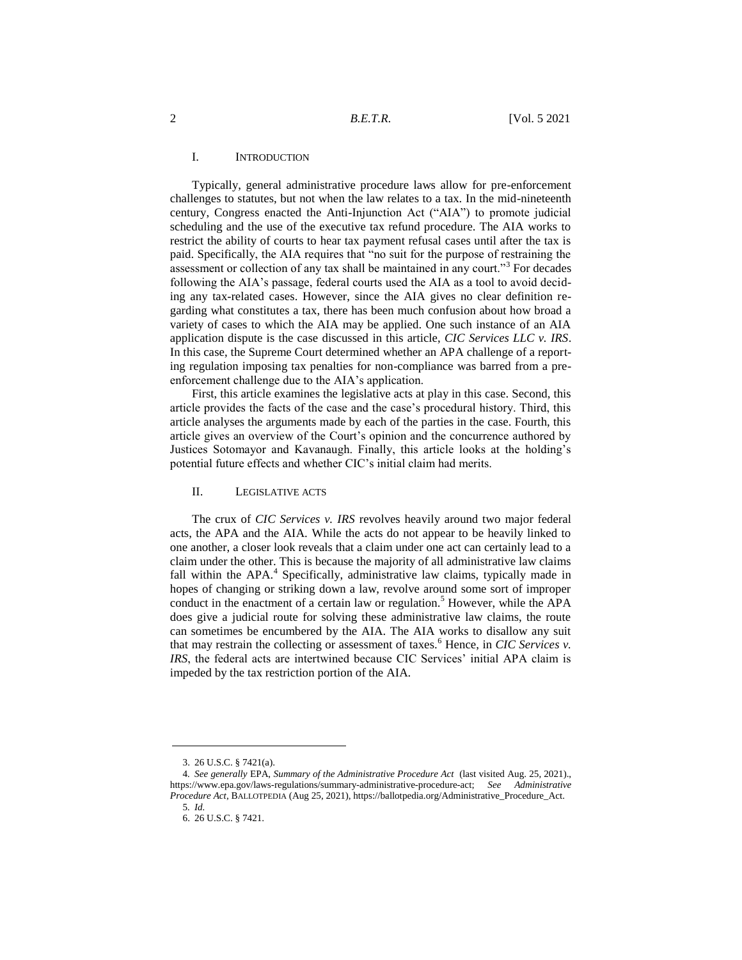# I. INTRODUCTION

Typically, general administrative procedure laws allow for pre-enforcement challenges to statutes, but not when the law relates to a tax. In the mid-nineteenth century, Congress enacted the Anti-Injunction Act ("AIA") to promote judicial scheduling and the use of the executive tax refund procedure. The AIA works to restrict the ability of courts to hear tax payment refusal cases until after the tax is paid. Specifically, the AIA requires that "no suit for the purpose of restraining the assessment or collection of any tax shall be maintained in any court."<sup>3</sup> For decades following the AIA's passage, federal courts used the AIA as a tool to avoid deciding any tax-related cases. However, since the AIA gives no clear definition regarding what constitutes a tax, there has been much confusion about how broad a variety of cases to which the AIA may be applied. One such instance of an AIA application dispute is the case discussed in this article, *CIC Services LLC v. IRS*. In this case, the Supreme Court determined whether an APA challenge of a reporting regulation imposing tax penalties for non-compliance was barred from a preenforcement challenge due to the AIA's application.

First, this article examines the legislative acts at play in this case. Second, this article provides the facts of the case and the case's procedural history. Third, this article analyses the arguments made by each of the parties in the case. Fourth, this article gives an overview of the Court's opinion and the concurrence authored by Justices Sotomayor and Kavanaugh. Finally, this article looks at the holding's potential future effects and whether CIC's initial claim had merits.

## II. LEGISLATIVE ACTS

The crux of *CIC Services v. IRS* revolves heavily around two major federal acts, the APA and the AIA. While the acts do not appear to be heavily linked to one another, a closer look reveals that a claim under one act can certainly lead to a claim under the other. This is because the majority of all administrative law claims fall within the APA.<sup>4</sup> Specifically, administrative law claims, typically made in hopes of changing or striking down a law, revolve around some sort of improper conduct in the enactment of a certain law or regulation.<sup>5</sup> However, while the APA does give a judicial route for solving these administrative law claims, the route can sometimes be encumbered by the AIA. The AIA works to disallow any suit that may restrain the collecting or assessment of taxes.<sup>6</sup> Hence, in *CIC Services v. IRS*, the federal acts are intertwined because CIC Services' initial APA claim is impeded by the tax restriction portion of the AIA.

<sup>3.</sup> 26 U.S.C. § 7421(a).

<sup>4</sup>*. See generally* EPA, *Summary of the Administrative Procedure Act* (last visited Aug. 25, 2021)., https://www.epa.gov/laws-regulations/summary-administrative-procedure-act; *See Administrative Procedure Act*, BALLOTPEDIA (Aug 25, 2021), https://ballotpedia.org/Administrative\_Procedure\_Act. 5*. Id.*

<sup>6.</sup> 26 U.S.C. § 7421.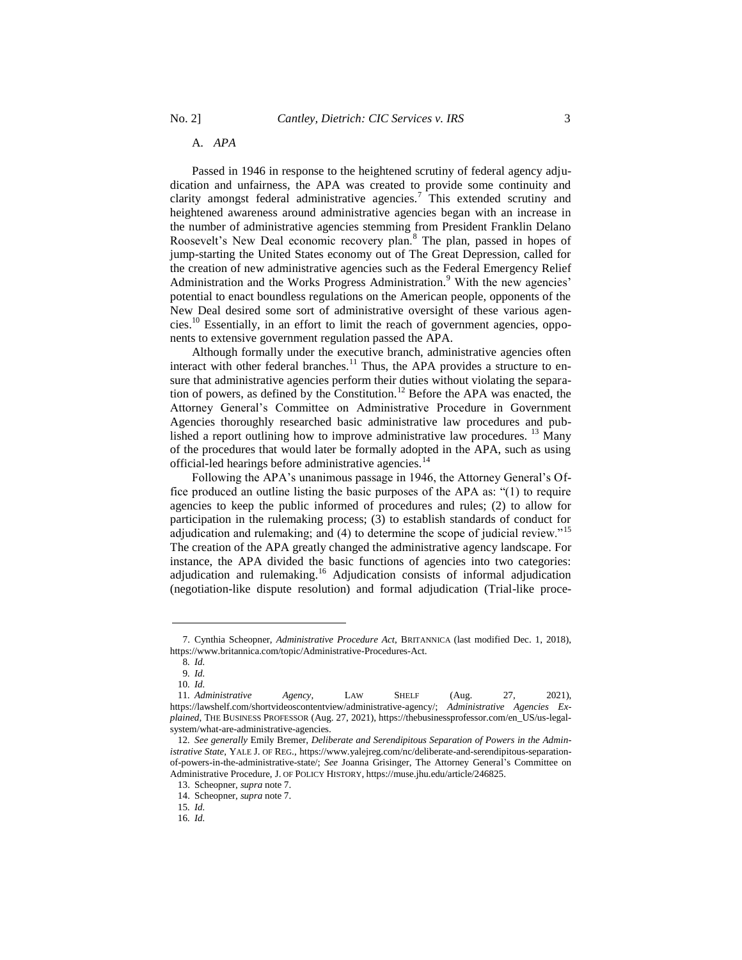A. *APA*

Passed in 1946 in response to the heightened scrutiny of federal agency adjudication and unfairness, the APA was created to provide some continuity and clarity amongst federal administrative agencies.<sup>7</sup> This extended scrutiny and heightened awareness around administrative agencies began with an increase in the number of administrative agencies stemming from President Franklin Delano Roosevelt's New Deal economic recovery plan.<sup>8</sup> The plan, passed in hopes of jump-starting the United States economy out of The Great Depression, called for the creation of new administrative agencies such as the Federal Emergency Relief Administration and the Works Progress Administration.<sup>9</sup> With the new agencies' potential to enact boundless regulations on the American people, opponents of the New Deal desired some sort of administrative oversight of these various agencies.<sup>10</sup> Essentially, in an effort to limit the reach of government agencies, opponents to extensive government regulation passed the APA.

Although formally under the executive branch, administrative agencies often interact with other federal branches.<sup>11</sup> Thus, the APA provides a structure to ensure that administrative agencies perform their duties without violating the separation of powers, as defined by the Constitution.<sup>12</sup> Before the APA was enacted, the Attorney General's Committee on Administrative Procedure in Government Agencies thoroughly researched basic administrative law procedures and published a report outlining how to improve administrative law procedures.  $^{13}$  Many of the procedures that would later be formally adopted in the APA, such as using official-led hearings before administrative agencies.<sup>14</sup>

Following the APA's unanimous passage in 1946, the Attorney General's Office produced an outline listing the basic purposes of the APA as: "(1) to require agencies to keep the public informed of procedures and rules; (2) to allow for participation in the rulemaking process; (3) to establish standards of conduct for adjudication and rulemaking; and (4) to determine the scope of judicial review."<sup>15</sup> The creation of the APA greatly changed the administrative agency landscape. For instance, the APA divided the basic functions of agencies into two categories: adjudication and rulemaking.<sup>16</sup> Adjudication consists of informal adjudication (negotiation-like dispute resolution) and formal adjudication (Trial-like proce-

<sup>7.</sup> Cynthia Scheopner, *Administrative Procedure Act*, BRITANNICA (last modified Dec. 1, 2018), https://www.britannica.com/topic/Administrative-Procedures-Act.

<sup>8</sup>*. Id.*

<sup>9</sup>*. Id.* 10*. Id.*

<sup>11</sup>*. Administrative Agency*, LAW SHELF (Aug. 27, 2021), https://lawshelf.com/shortvideoscontentview/administrative-agency/; *Administrative Agencies Explained*, THE BUSINESS PROFESSOR (Aug. 27, 2021), https://thebusinessprofessor.com/en\_US/us-legalsystem/what-are-administrative-agencies.

<sup>12</sup>*. See generally* Emily Bremer, *Deliberate and Serendipitous Separation of Powers in the Administrative State*, YALE J. OF REG., https://www.yalejreg.com/nc/deliberate-and-serendipitous-separationof-powers-in-the-administrative-state/; *See* Joanna Grisinger, The Attorney General's Committee on Administrative Procedure, J. OF POLICY HISTORY, https://muse.jhu.edu/article/246825.

<sup>13.</sup> Scheopner, *supra* note 7.

<sup>14.</sup> Scheopner, *supra* note 7.

<sup>15</sup>*. Id.*

<sup>16</sup>*. Id.*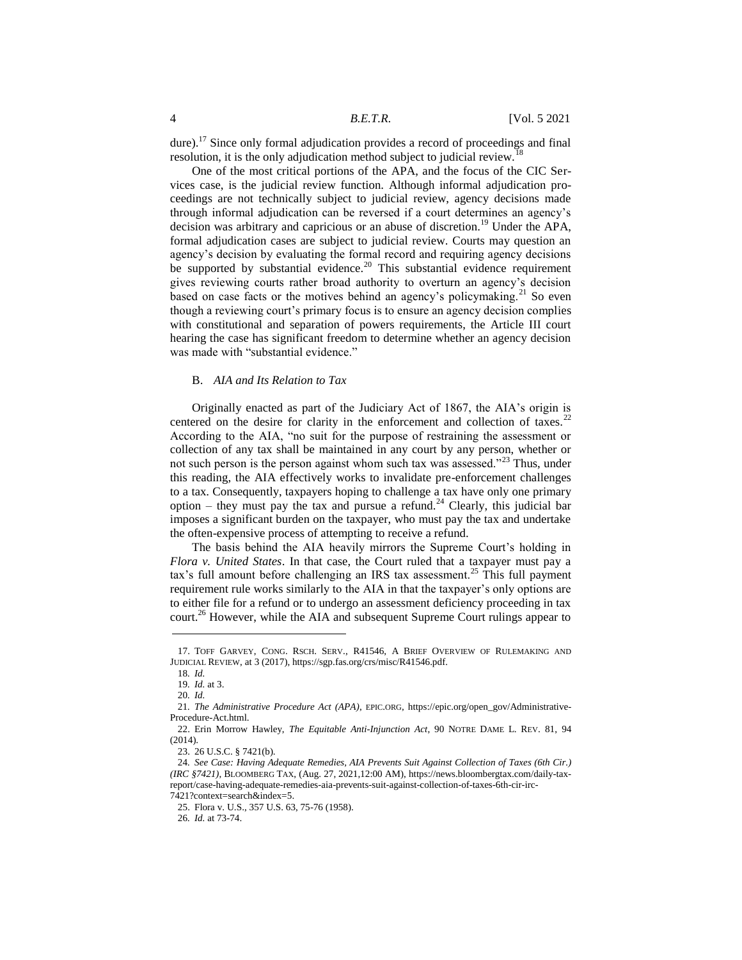dure).<sup>17</sup> Since only formal adjudication provides a record of proceedings and final resolution, it is the only adjudication method subject to judicial review.<sup>1</sup>

One of the most critical portions of the APA, and the focus of the CIC Services case, is the judicial review function. Although informal adjudication proceedings are not technically subject to judicial review, agency decisions made through informal adjudication can be reversed if a court determines an agency's decision was arbitrary and capricious or an abuse of discretion.<sup>19</sup> Under the APA, formal adjudication cases are subject to judicial review. Courts may question an agency's decision by evaluating the formal record and requiring agency decisions be supported by substantial evidence.<sup>20</sup> This substantial evidence requirement gives reviewing courts rather broad authority to overturn an agency's decision based on case facts or the motives behind an agency's policymaking.<sup>21</sup> So even though a reviewing court's primary focus is to ensure an agency decision complies with constitutional and separation of powers requirements, the Article III court hearing the case has significant freedom to determine whether an agency decision was made with "substantial evidence."

# B. *AIA and Its Relation to Tax*

Originally enacted as part of the Judiciary Act of 1867, the AIA's origin is centered on the desire for clarity in the enforcement and collection of taxes.<sup>22</sup> According to the AIA, "no suit for the purpose of restraining the assessment or collection of any tax shall be maintained in any court by any person, whether or not such person is the person against whom such tax was assessed."<sup>23</sup> Thus, under this reading, the AIA effectively works to invalidate pre-enforcement challenges to a tax. Consequently, taxpayers hoping to challenge a tax have only one primary option – they must pay the tax and pursue a refund.<sup>24</sup> Clearly, this judicial bar imposes a significant burden on the taxpayer, who must pay the tax and undertake the often-expensive process of attempting to receive a refund.

The basis behind the AIA heavily mirrors the Supreme Court's holding in *Flora v. United States*. In that case, the Court ruled that a taxpayer must pay a tax's full amount before challenging an IRS tax assessment.<sup>25</sup> This full payment requirement rule works similarly to the AIA in that the taxpayer's only options are to either file for a refund or to undergo an assessment deficiency proceeding in tax court.<sup>26</sup> However, while the AIA and subsequent Supreme Court rulings appear to

<sup>17.</sup> TOFF GARVEY, CONG. RSCH. SERV., R41546, A BRIEF OVERVIEW OF RULEMAKING AND JUDICIAL REVIEW, at 3 (2017), https://sgp.fas.org/crs/misc/R41546.pdf.

<sup>18</sup>*. Id.*

<sup>19</sup>*. Id.* at 3.

<sup>20</sup>*. Id.*

<sup>21</sup>*. The Administrative Procedure Act (APA)*, EPIC.ORG, https://epic.org/open\_gov/Administrative-Procedure-Act.html.

<sup>22.</sup> Erin Morrow Hawley, *The Equitable Anti-Injunction Act*, 90 NOTRE DAME L. REV. 81, 94 (2014).

<sup>23.</sup> 26 U.S.C. § 7421(b).

<sup>24</sup>*. See Case: Having Adequate Remedies, AIA Prevents Suit Against Collection of Taxes (6th Cir.) (IRC §7421)*, BLOOMBERG TAX, (Aug. 27, 2021,12:00 AM), https://news.bloombergtax.com/daily-taxreport/case-having-adequate-remedies-aia-prevents-suit-against-collection-of-taxes-6th-cir-irc-

<sup>7421?</sup>context=search&index=5.

<sup>25.</sup> Flora v. U.S., 357 U.S. 63, 75-76 (1958).

<sup>26</sup>*. Id.* at 73-74.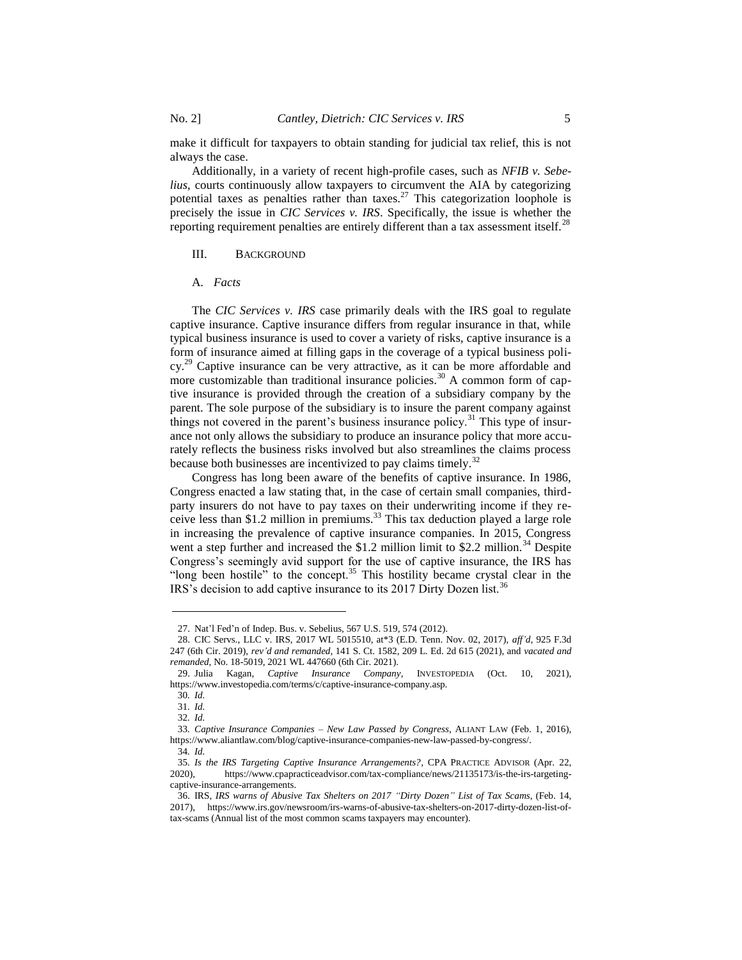make it difficult for taxpayers to obtain standing for judicial tax relief, this is not always the case.

Additionally, in a variety of recent high-profile cases, such as *NFIB v. Sebelius*, courts continuously allow taxpayers to circumvent the AIA by categorizing potential taxes as penalties rather than taxes.<sup>27</sup> This categorization loophole is precisely the issue in *CIC Services v. IRS*. Specifically, the issue is whether the reporting requirement penalties are entirely different than a tax assessment itself.<sup>28</sup>

## III. BACKGROUND

## A. *Facts*

The *CIC Services v. IRS* case primarily deals with the IRS goal to regulate captive insurance. Captive insurance differs from regular insurance in that, while typical business insurance is used to cover a variety of risks, captive insurance is a form of insurance aimed at filling gaps in the coverage of a typical business policy.<sup>29</sup> Captive insurance can be very attractive, as it can be more affordable and more customizable than traditional insurance policies.<sup>30</sup> A common form of captive insurance is provided through the creation of a subsidiary company by the parent. The sole purpose of the subsidiary is to insure the parent company against things not covered in the parent's business insurance policy.<sup>31</sup> This type of insurance not only allows the subsidiary to produce an insurance policy that more accurately reflects the business risks involved but also streamlines the claims process because both businesses are incentivized to pay claims timely.<sup>32</sup>

Congress has long been aware of the benefits of captive insurance. In 1986, Congress enacted a law stating that, in the case of certain small companies, thirdparty insurers do not have to pay taxes on their underwriting income if they receive less than \$1.2 million in premiums. $33$  This tax deduction played a large role in increasing the prevalence of captive insurance companies. In 2015, Congress went a step further and increased the  $$1.2$  million limit to  $$2.2$  million.<sup>34</sup> Despite Congress's seemingly avid support for the use of captive insurance, the IRS has "long been hostile" to the concept.<sup>35</sup> This hostility became crystal clear in the IRS's decision to add captive insurance to its 2017 Dirty Dozen list.<sup>36</sup>

<sup>27.</sup> Nat'l Fed'n of Indep. Bus. v. Sebelius, 567 U.S. 519, 574 (2012).

<sup>28.</sup> CIC Servs., LLC v. IRS, 2017 WL 5015510, at\*3 (E.D. Tenn. Nov. 02, 2017), *aff'd,* 925 F.3d 247 (6th Cir. 2019), *rev'd and remanded*, 141 S. Ct. 1582, 209 L. Ed. 2d 615 (2021), and *vacated and remanded*, No. 18-5019, 2021 WL 447660 (6th Cir. 2021).

<sup>29.</sup> Julia Kagan, *Captive Insurance Company*, INVESTOPEDIA (Oct. 10, 2021), https://www.investopedia.com/terms/c/captive-insurance-company.asp.

<sup>30</sup>*. Id.*

<sup>31</sup>*. Id.*

<sup>32</sup>*. Id.*

<sup>33</sup>*. Captive Insurance Companies – New Law Passed by Congress*, ALIANT LAW (Feb. 1, 2016), https://www.aliantlaw.com/blog/captive-insurance-companies-new-law-passed-by-congress/.

<sup>34</sup>*. Id.*

<sup>35</sup>*. Is the IRS Targeting Captive Insurance Arrangements?*, CPA PRACTICE ADVISOR (Apr. 22, 2020), https://www.cpapracticeadvisor.com/tax-compliance/news/21135173/is-the-irs-targetingcaptive-insurance-arrangements.

<sup>36.</sup> IRS, *IRS warns of Abusive Tax Shelters on 2017 "Dirty Dozen" List of Tax Scams*, (Feb. 14, 2017), https://www.irs.gov/newsroom/irs-warns-of-abusive-tax-shelters-on-2017-dirty-dozen-list-oftax-scams (Annual list of the most common scams taxpayers may encounter).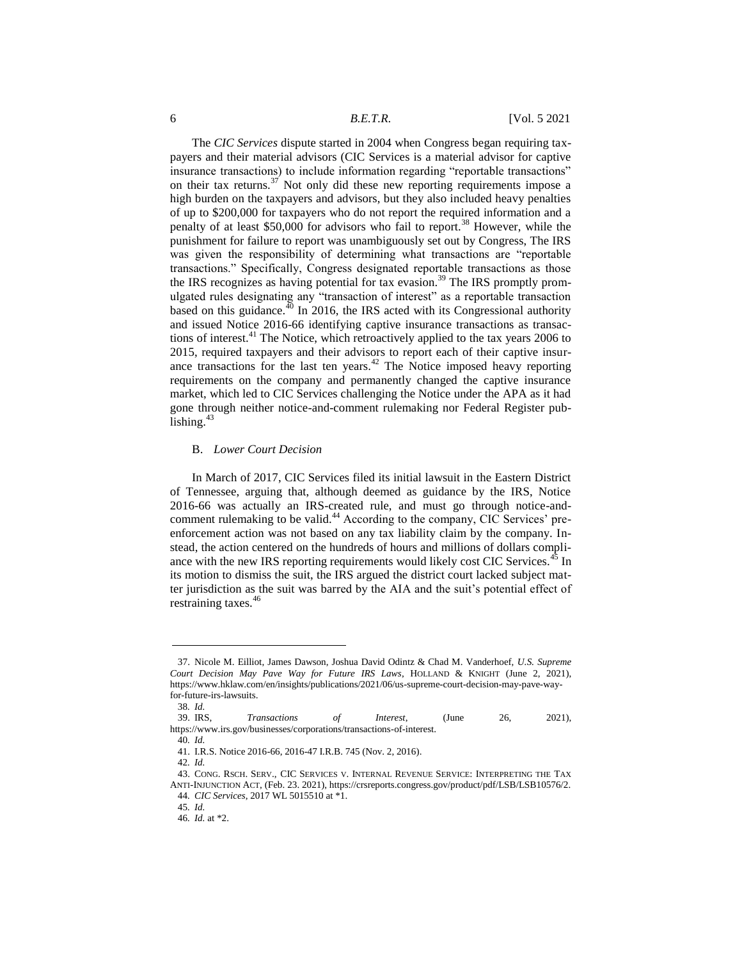The *CIC Services* dispute started in 2004 when Congress began requiring taxpayers and their material advisors (CIC Services is a material advisor for captive insurance transactions) to include information regarding "reportable transactions" on their tax returns.<sup>37</sup> Not only did these new reporting requirements impose a high burden on the taxpayers and advisors, but they also included heavy penalties of up to \$200,000 for taxpayers who do not report the required information and a penalty of at least \$50,000 for advisors who fail to report.<sup>38</sup> However, while the punishment for failure to report was unambiguously set out by Congress, The IRS was given the responsibility of determining what transactions are "reportable transactions." Specifically, Congress designated reportable transactions as those the IRS recognizes as having potential for tax evasion.<sup>39</sup> The IRS promptly promulgated rules designating any "transaction of interest" as a reportable transaction based on this guidance.<sup>40</sup> In 2016, the IRS acted with its Congressional authority and issued Notice 2016-66 identifying captive insurance transactions as transactions of interest.<sup>41</sup> The Notice, which retroactively applied to the tax years 2006 to 2015, required taxpayers and their advisors to report each of their captive insurance transactions for the last ten years.<sup>42</sup> The Notice imposed heavy reporting requirements on the company and permanently changed the captive insurance market, which led to CIC Services challenging the Notice under the APA as it had gone through neither notice-and-comment rulemaking nor Federal Register publishing.<sup>43</sup>

#### B. *Lower Court Decision*

In March of 2017, CIC Services filed its initial lawsuit in the Eastern District of Tennessee, arguing that, although deemed as guidance by the IRS, Notice 2016-66 was actually an IRS-created rule, and must go through notice-andcomment rulemaking to be valid.<sup>44</sup> According to the company, CIC Services' preenforcement action was not based on any tax liability claim by the company. Instead, the action centered on the hundreds of hours and millions of dollars compliance with the new IRS reporting requirements would likely cost CIC Services.<sup>45</sup> In its motion to dismiss the suit, the IRS argued the district court lacked subject matter jurisdiction as the suit was barred by the AIA and the suit's potential effect of restraining taxes.<sup>46</sup>

<sup>37.</sup> Nicole M. Eilliot, James Dawson, Joshua David Odintz & Chad M. Vanderhoef, *U.S. Supreme Court Decision May Pave Way for Future IRS Laws*, HOLLAND & KNIGHT (June 2, 2021), https://www.hklaw.com/en/insights/publications/2021/06/us-supreme-court-decision-may-pave-wayfor-future-irs-lawsuits.

<sup>38</sup>*. Id.*

<sup>39.</sup> IRS, *Transactions of Interest*, (June 26, 2021), https://www.irs.gov/businesses/corporations/transactions-of-interest.

<sup>40</sup>*. Id.*

<sup>41.</sup> I.R.S. Notice 2016-66, 2016-47 I.R.B. 745 (Nov. 2, 2016).

<sup>42</sup>*. Id.*

<sup>43.</sup> CONG. RSCH. SERV., CIC SERVICES V. INTERNAL REVENUE SERVICE: INTERPRETING THE TAX ANTI-INJUNCTION ACT, (Feb. 23. 2021), https://crsreports.congress.gov/product/pdf/LSB/LSB10576/2. 44*. CIC Services*, 2017 WL 5015510 at \*1.

<sup>45</sup>*. Id.*

<sup>46</sup>*. Id.* at \*2.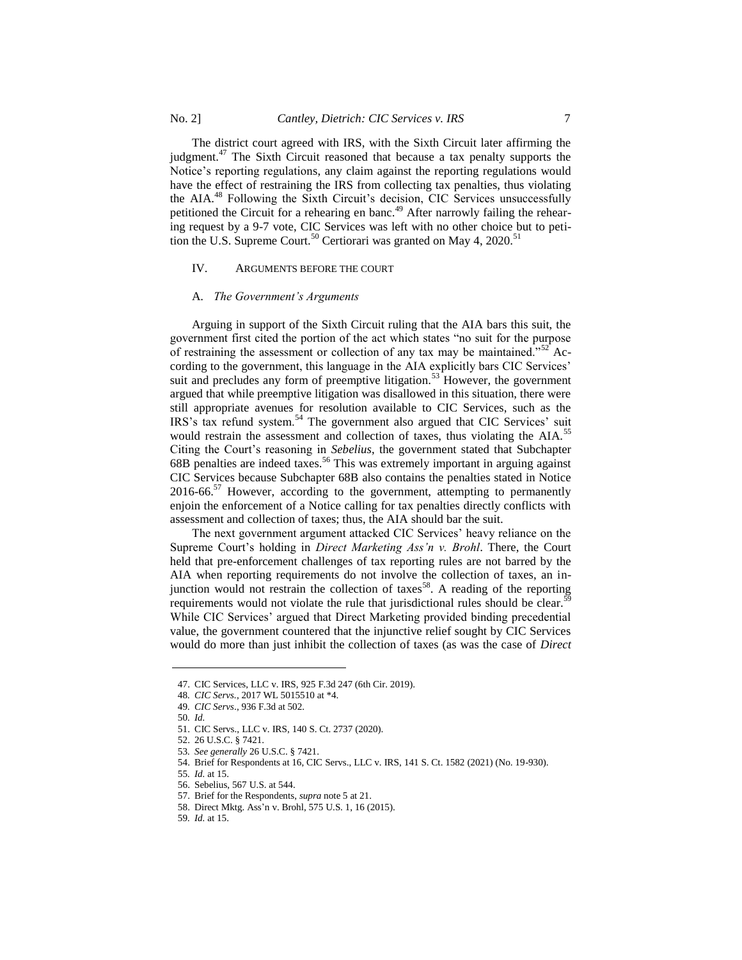The district court agreed with IRS, with the Sixth Circuit later affirming the judgment.<sup>47</sup> The Sixth Circuit reasoned that because a tax penalty supports the Notice's reporting regulations, any claim against the reporting regulations would have the effect of restraining the IRS from collecting tax penalties, thus violating the AIA.<sup>48</sup> Following the Sixth Circuit's decision, CIC Services unsuccessfully petitioned the Circuit for a rehearing en banc.<sup>49</sup> After narrowly failing the rehearing request by a 9-7 vote, CIC Services was left with no other choice but to petition the U.S. Supreme Court.<sup>50</sup> Certiorari was granted on May 4, 2020.<sup>51</sup>

## IV. ARGUMENTS BEFORE THE COURT

#### A. *The Government's Arguments*

Arguing in support of the Sixth Circuit ruling that the AIA bars this suit, the government first cited the portion of the act which states "no suit for the purpose of restraining the assessment or collection of any tax may be maintained."<sup>52</sup> According to the government, this language in the AIA explicitly bars CIC Services' suit and precludes any form of preemptive litigation.<sup>53</sup> However, the government argued that while preemptive litigation was disallowed in this situation, there were still appropriate avenues for resolution available to CIC Services, such as the IRS's tax refund system.<sup>54</sup> The government also argued that CIC Services' suit would restrain the assessment and collection of taxes, thus violating the AIA.<sup>55</sup> Citing the Court's reasoning in *Sebelius*, the government stated that Subchapter  $68B$  penalties are indeed taxes.<sup>56</sup> This was extremely important in arguing against CIC Services because Subchapter 68B also contains the penalties stated in Notice  $2016-66$ <sup>57</sup> However, according to the government, attempting to permanently enjoin the enforcement of a Notice calling for tax penalties directly conflicts with assessment and collection of taxes; thus, the AIA should bar the suit.

The next government argument attacked CIC Services' heavy reliance on the Supreme Court's holding in *Direct Marketing Ass'n v. Brohl*. There, the Court held that pre-enforcement challenges of tax reporting rules are not barred by the AIA when reporting requirements do not involve the collection of taxes, an injunction would not restrain the collection of taxes<sup>58</sup>. A reading of the reporting requirements would not violate the rule that jurisdictional rules should be clear.<sup>59</sup> While CIC Services' argued that Direct Marketing provided binding precedential value, the government countered that the injunctive relief sought by CIC Services would do more than just inhibit the collection of taxes (as was the case of *Direct* 

l

<sup>47.</sup> CIC Services, LLC v. IRS, 925 F.3d 247 (6th Cir. 2019).

<sup>48</sup>*. CIC Servs.*, 2017 WL 5015510 at \*4.

<sup>49</sup>*. CIC Servs*., 936 F.3d at 502.

<sup>50</sup>*. Id.*

<sup>51.</sup> CIC Servs., LLC v. IRS, 140 S. Ct. 2737 (2020).

<sup>52.</sup> 26 U.S.C. § 7421.

<sup>53</sup>*. See generally* 26 U.S.C. § 7421.

<sup>54.</sup> Brief for Respondents at 16, CIC Servs., LLC v. IRS, 141 S. Ct. 1582 (2021) (No. 19-930).

<sup>55</sup>*. Id.* at 15.

<sup>56.</sup> Sebelius, 567 U.S. at 544.

<sup>57.</sup> Brief for the Respondents, *supra* note 5 at 21.

<sup>58.</sup> Direct Mktg. Ass'n v. Brohl, 575 U.S. 1, 16 (2015).

<sup>59</sup>*. Id.* at 15.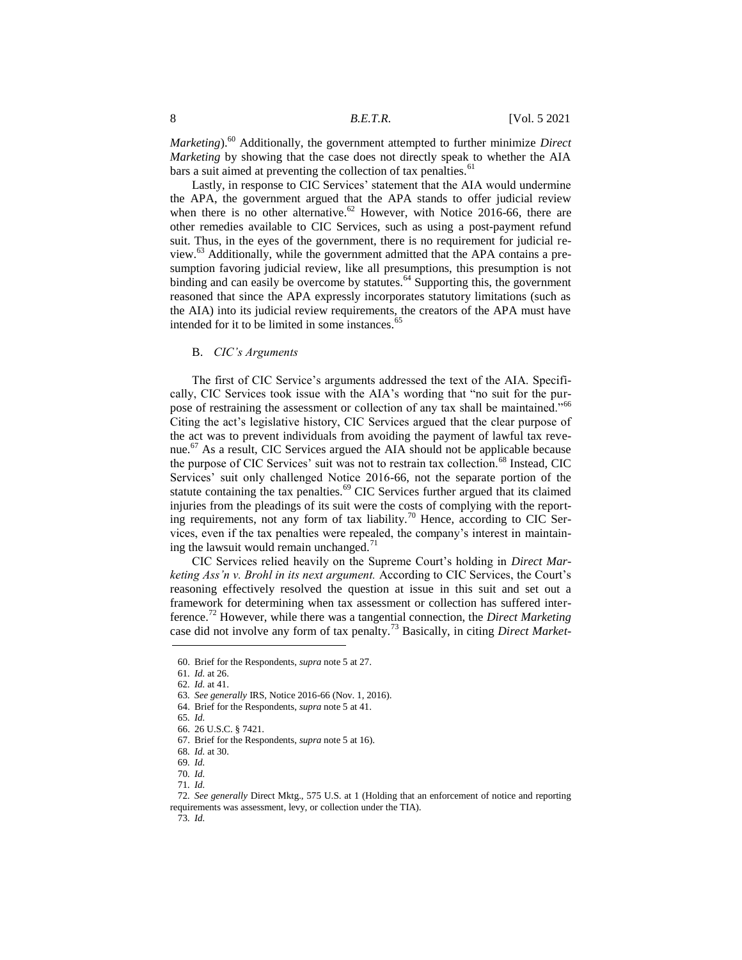*Marketing*).<sup>60</sup> Additionally, the government attempted to further minimize *Direct Marketing* by showing that the case does not directly speak to whether the AIA bars a suit aimed at preventing the collection of tax penalties.<sup>61</sup>

Lastly, in response to CIC Services' statement that the AIA would undermine the APA, the government argued that the APA stands to offer judicial review when there is no other alternative.<sup>62</sup> However, with Notice 2016-66, there are other remedies available to CIC Services, such as using a post-payment refund suit. Thus, in the eyes of the government, there is no requirement for judicial review. $^{63}$  Additionally, while the government admitted that the APA contains a presumption favoring judicial review, like all presumptions, this presumption is not binding and can easily be overcome by statutes.<sup>64</sup> Supporting this, the government reasoned that since the APA expressly incorporates statutory limitations (such as the AIA) into its judicial review requirements, the creators of the APA must have intended for it to be limited in some instances.<sup>65</sup>

## B. *CIC's Arguments*

The first of CIC Service's arguments addressed the text of the AIA. Specifically, CIC Services took issue with the AIA's wording that "no suit for the purpose of restraining the assessment or collection of any tax shall be maintained."<sup>66</sup> Citing the act's legislative history, CIC Services argued that the clear purpose of the act was to prevent individuals from avoiding the payment of lawful tax revenue.<sup>67</sup> As a result, CIC Services argued the AIA should not be applicable because the purpose of CIC Services' suit was not to restrain tax collection.<sup>68</sup> Instead, CIC Services' suit only challenged Notice 2016-66, not the separate portion of the statute containing the tax penalties.<sup>69</sup> CIC Services further argued that its claimed injuries from the pleadings of its suit were the costs of complying with the reporting requirements, not any form of tax liability.<sup>70</sup> Hence, according to CIC Services, even if the tax penalties were repealed, the company's interest in maintaining the lawsuit would remain unchanged.<sup>71</sup>

CIC Services relied heavily on the Supreme Court's holding in *Direct Marketing Ass'n v. Brohl in its next argument.* According to CIC Services, the Court's reasoning effectively resolved the question at issue in this suit and set out a framework for determining when tax assessment or collection has suffered interference.<sup>72</sup> However, while there was a tangential connection, the *Direct Marketing* case did not involve any form of tax penalty.<sup>73</sup> Basically, in citing *Direct Market-*  $\overline{a}$ 

73*. Id.*

<sup>60.</sup> Brief for the Respondents, *supra* note 5 at 27.

<sup>61</sup>*. Id.* at 26.

<sup>62</sup>*. Id.* at 41.

<sup>63</sup>*. See generally* IRS, Notice 2016-66 (Nov. 1, 2016).

<sup>64.</sup> Brief for the Respondents, *supra* note 5 at 41.

<sup>65</sup>*. Id.*

<sup>66.</sup> 26 U.S.C. § 7421.

<sup>67.</sup> Brief for the Respondents, *supra* note 5 at 16).

<sup>68</sup>*. Id.* at 30.

<sup>69</sup>*. Id.*

<sup>70</sup>*. Id.*

<sup>71</sup>*. Id.*

<sup>72</sup>*. See generally* Direct Mktg., 575 U.S. at 1 (Holding that an enforcement of notice and reporting requirements was assessment, levy, or collection under the TIA).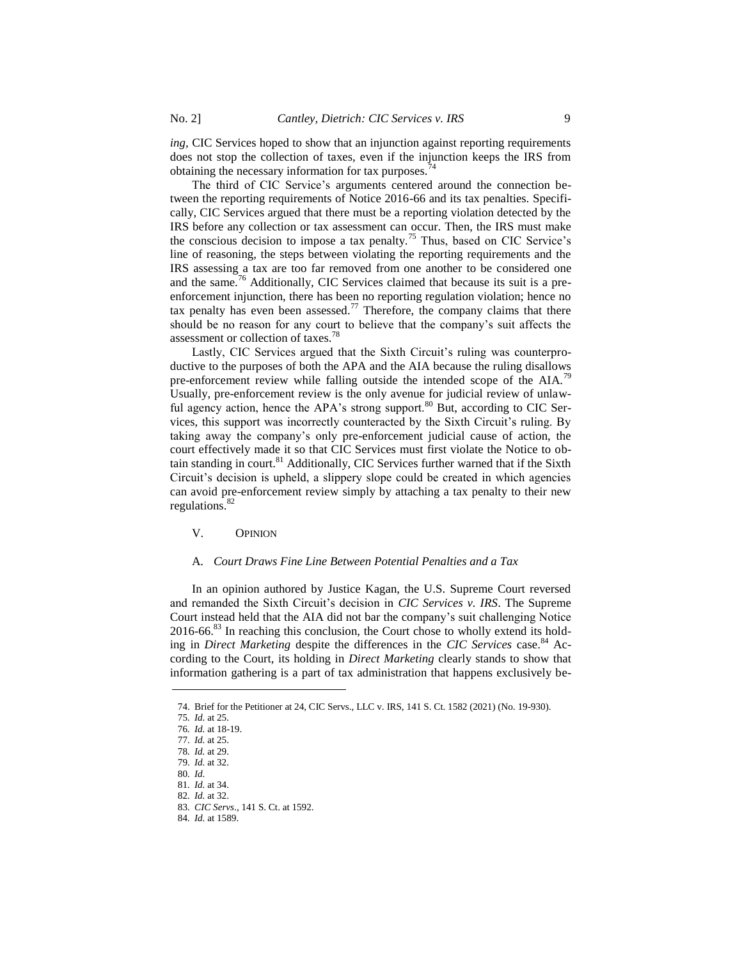*ing,* CIC Services hoped to show that an injunction against reporting requirements does not stop the collection of taxes, even if the injunction keeps the IRS from obtaining the necessary information for tax purposes.<sup>74</sup>

The third of CIC Service's arguments centered around the connection between the reporting requirements of Notice 2016-66 and its tax penalties. Specifically, CIC Services argued that there must be a reporting violation detected by the IRS before any collection or tax assessment can occur. Then, the IRS must make the conscious decision to impose a tax penalty.<sup>75</sup> Thus, based on CIC Service's line of reasoning, the steps between violating the reporting requirements and the IRS assessing a tax are too far removed from one another to be considered one and the same.<sup>76</sup> Additionally, CIC Services claimed that because its suit is a preenforcement injunction, there has been no reporting regulation violation; hence no tax penalty has even been assessed.<sup>77</sup> Therefore, the company claims that there should be no reason for any court to believe that the company's suit affects the assessment or collection of taxes.<sup>78</sup>

Lastly, CIC Services argued that the Sixth Circuit's ruling was counterproductive to the purposes of both the APA and the AIA because the ruling disallows pre-enforcement review while falling outside the intended scope of the  $AIA$ .<sup>79</sup> Usually, pre-enforcement review is the only avenue for judicial review of unlawful agency action, hence the APA's strong support.<sup>80</sup> But, according to CIC Services, this support was incorrectly counteracted by the Sixth Circuit's ruling. By taking away the company's only pre-enforcement judicial cause of action, the court effectively made it so that CIC Services must first violate the Notice to obtain standing in court.<sup>81</sup> Additionally, CIC Services further warned that if the Sixth Circuit's decision is upheld, a slippery slope could be created in which agencies can avoid pre-enforcement review simply by attaching a tax penalty to their new regulations.<sup>82</sup>

## V. OPINION

## A. *Court Draws Fine Line Between Potential Penalties and a Tax*

In an opinion authored by Justice Kagan, the U.S. Supreme Court reversed and remanded the Sixth Circuit's decision in *CIC Services v. IRS*. The Supreme Court instead held that the AIA did not bar the company's suit challenging Notice 2016-66.<sup>83</sup> In reaching this conclusion, the Court chose to wholly extend its holding in *Direct Marketing* despite the differences in the *CIC Services* case.<sup>84</sup> According to the Court, its holding in *Direct Marketing* clearly stands to show that information gathering is a part of tax administration that happens exclusively be-

l

<sup>74.</sup> Brief for the Petitioner at 24, CIC Servs., LLC v. IRS, 141 S. Ct. 1582 (2021) (No. 19-930).

<sup>75</sup>*. Id.* at 25.

<sup>76</sup>*. Id.* at 18-19. 77*. Id.* at 25.

<sup>78</sup>*. Id.* at 29.

<sup>79</sup>*. Id.* at 32.

<sup>80</sup>*. Id.*

<sup>81</sup>*. Id.* at 34.

<sup>82</sup>*. Id.* at 32.

<sup>83</sup>*. CIC Servs*., 141 S. Ct. at 1592.

<sup>84</sup>*. Id.* at 1589.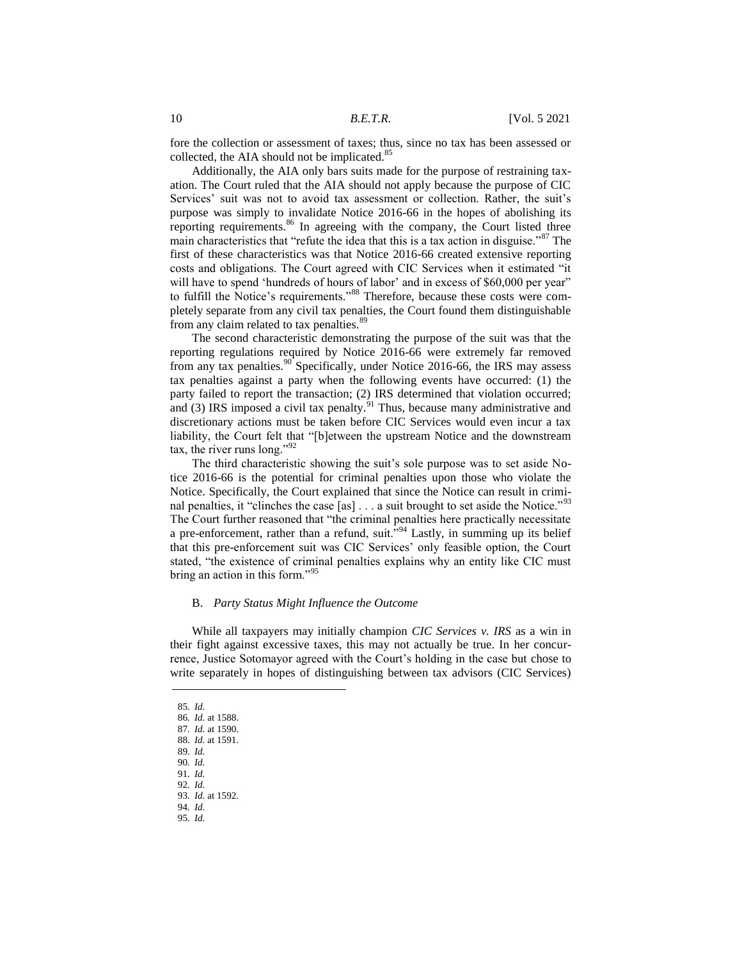fore the collection or assessment of taxes; thus, since no tax has been assessed or collected, the AIA should not be implicated.<sup>85</sup>

Additionally, the AIA only bars suits made for the purpose of restraining taxation. The Court ruled that the AIA should not apply because the purpose of CIC Services' suit was not to avoid tax assessment or collection. Rather, the suit's purpose was simply to invalidate Notice 2016-66 in the hopes of abolishing its reporting requirements.<sup>86</sup> In agreeing with the company, the Court listed three main characteristics that "refute the idea that this is a tax action in disguise."<sup>87</sup> The first of these characteristics was that Notice 2016-66 created extensive reporting costs and obligations. The Court agreed with CIC Services when it estimated "it will have to spend 'hundreds of hours of labor' and in excess of \$60,000 per year" to fulfill the Notice's requirements."<sup>88</sup> Therefore, because these costs were completely separate from any civil tax penalties, the Court found them distinguishable from any claim related to tax penalties.<sup>89</sup>

The second characteristic demonstrating the purpose of the suit was that the reporting regulations required by Notice 2016-66 were extremely far removed from any tax penalties.<sup>90</sup> Specifically, under Notice 2016-66, the IRS may assess tax penalties against a party when the following events have occurred: (1) the party failed to report the transaction; (2) IRS determined that violation occurred; and  $(3)$  IRS imposed a civil tax penalty.<sup>91</sup> Thus, because many administrative and discretionary actions must be taken before CIC Services would even incur a tax liability, the Court felt that "[b]etween the upstream Notice and the downstream tax, the river runs long." $^{92}$ 

The third characteristic showing the suit's sole purpose was to set aside Notice 2016-66 is the potential for criminal penalties upon those who violate the Notice. Specifically, the Court explained that since the Notice can result in criminal penalties, it "clinches the case [as]  $\dots$  a suit brought to set aside the Notice."<sup>93</sup> The Court further reasoned that "the criminal penalties here practically necessitate a pre-enforcement, rather than a refund, suit.<sup> $594$ </sup> Lastly, in summing up its belief that this pre-enforcement suit was CIC Services' only feasible option, the Court stated, "the existence of criminal penalties explains why an entity like CIC must bring an action in this form."<sup>95</sup>

#### B. *Party Status Might Influence the Outcome*

While all taxpayers may initially champion *CIC Services v. IRS* as a win in their fight against excessive taxes, this may not actually be true. In her concurrence, Justice Sotomayor agreed with the Court's holding in the case but chose to write separately in hopes of distinguishing between tax advisors (CIC Services)

l

95*. Id.*

<sup>85</sup>*. Id.*

<sup>86</sup>*. Id.* at 1588.

<sup>87</sup>*. Id.* at 1590.

<sup>88</sup>*. Id.* at 1591.

<sup>89</sup>*. Id.* 90*. Id.*

<sup>91</sup>*. Id.*

<sup>92</sup>*. Id.*

<sup>93</sup>*. Id.* at 1592.

<sup>94</sup>*. Id.*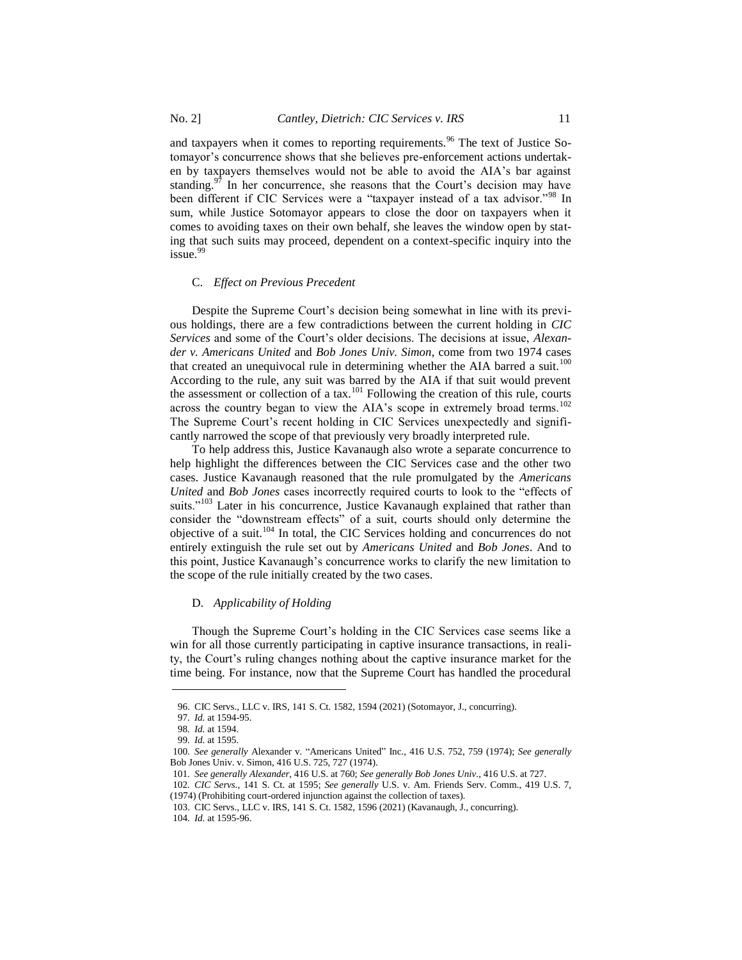and taxpayers when it comes to reporting requirements.<sup>96</sup> The text of Justice Sotomayor's concurrence shows that she believes pre-enforcement actions undertaken by taxpayers themselves would not be able to avoid the AIA's bar against standing.<sup>97</sup> In her concurrence, she reasons that the Court's decision may have been different if CIC Services were a "taxpayer instead of a tax advisor."<sup>98</sup> In sum, while Justice Sotomayor appears to close the door on taxpayers when it comes to avoiding taxes on their own behalf, she leaves the window open by stating that such suits may proceed, dependent on a context-specific inquiry into the issue.<sup>99</sup>

#### C. *Effect on Previous Precedent*

Despite the Supreme Court's decision being somewhat in line with its previous holdings, there are a few contradictions between the current holding in *CIC Services* and some of the Court's older decisions. The decisions at issue, *Alexander v. Americans United* and *Bob Jones Univ. Simon*, come from two 1974 cases that created an unequivocal rule in determining whether the AIA barred a suit.<sup>100</sup> According to the rule, any suit was barred by the AIA if that suit would prevent the assessment or collection of a tax.<sup>101</sup> Following the creation of this rule, courts across the country began to view the AIA's scope in extremely broad terms.<sup>102</sup> The Supreme Court's recent holding in CIC Services unexpectedly and significantly narrowed the scope of that previously very broadly interpreted rule.

To help address this, Justice Kavanaugh also wrote a separate concurrence to help highlight the differences between the CIC Services case and the other two cases. Justice Kavanaugh reasoned that the rule promulgated by the *Americans United* and *Bob Jones* cases incorrectly required courts to look to the "effects of suits."<sup>103</sup> Later in his concurrence, Justice Kavanaugh explained that rather than consider the "downstream effects" of a suit, courts should only determine the objective of a suit.<sup>104</sup> In total, the CIC Services holding and concurrences do not entirely extinguish the rule set out by *Americans United* and *Bob Jones*. And to this point, Justice Kavanaugh's concurrence works to clarify the new limitation to the scope of the rule initially created by the two cases.

#### D. *Applicability of Holding*

Though the Supreme Court's holding in the CIC Services case seems like a win for all those currently participating in captive insurance transactions, in reality, the Court's ruling changes nothing about the captive insurance market for the time being. For instance, now that the Supreme Court has handled the procedural

l

<sup>96.</sup> CIC Servs., LLC v. IRS, 141 S. Ct. 1582, 1594 (2021) (Sotomayor, J., concurring).

<sup>97</sup>*. Id.* at 1594-95.

<sup>98</sup>*. Id.* at 1594.

<sup>99</sup>*. Id.* at 1595.

<sup>100</sup>*. See generally* Alexander v. "Americans United" Inc., 416 U.S. 752, 759 (1974); *See generally*  Bob Jones Univ. v. Simon, 416 U.S. 725, 727 (1974).

<sup>101</sup>*. See generally Alexander*, 416 U.S. at 760; *See generally Bob Jones Univ.*, 416 U.S. at 727.

<sup>102</sup>*. CIC Servs.,* 141 S. Ct. at 1595; *See generally* U.S. v. Am. Friends Serv. Comm., 419 U.S. 7, (1974) (Prohibiting court-ordered injunction against the collection of taxes).

<sup>103.</sup> CIC Servs., LLC v. IRS, 141 S. Ct. 1582, 1596 (2021) (Kavanaugh, J., concurring).

<sup>104</sup>*. Id.* at 1595-96.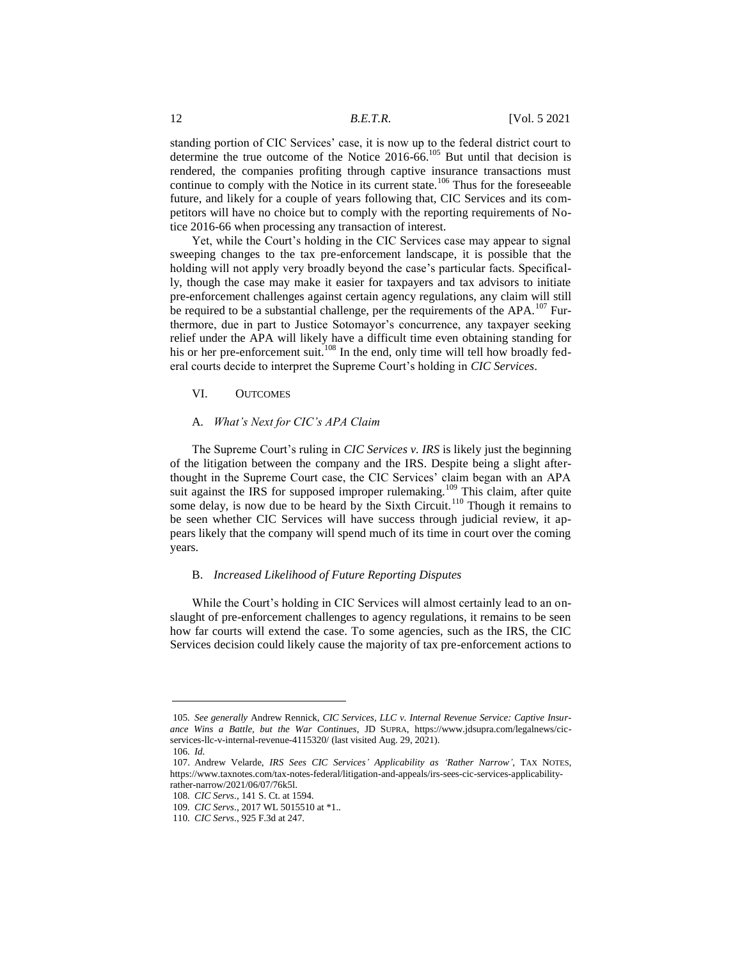standing portion of CIC Services' case, it is now up to the federal district court to determine the true outcome of the Notice  $2016-66$ .<sup>105</sup> But until that decision is rendered, the companies profiting through captive insurance transactions must continue to comply with the Notice in its current state.<sup>106</sup> Thus for the foreseeable future, and likely for a couple of years following that, CIC Services and its competitors will have no choice but to comply with the reporting requirements of Notice 2016-66 when processing any transaction of interest.

Yet, while the Court's holding in the CIC Services case may appear to signal sweeping changes to the tax pre-enforcement landscape, it is possible that the holding will not apply very broadly beyond the case's particular facts. Specifically, though the case may make it easier for taxpayers and tax advisors to initiate pre-enforcement challenges against certain agency regulations, any claim will still be required to be a substantial challenge, per the requirements of the APA.<sup>107</sup> Furthermore, due in part to Justice Sotomayor's concurrence, any taxpayer seeking relief under the APA will likely have a difficult time even obtaining standing for his or her pre-enforcement suit.<sup>108</sup> In the end, only time will tell how broadly federal courts decide to interpret the Supreme Court's holding in *CIC Services*.

## VI. OUTCOMES

# A. *What's Next for CIC's APA Claim*

The Supreme Court's ruling in *CIC Services v. IRS* is likely just the beginning of the litigation between the company and the IRS. Despite being a slight afterthought in the Supreme Court case, the CIC Services' claim began with an APA suit against the IRS for supposed improper rulemaking.<sup>109</sup> This claim, after quite some delay, is now due to be heard by the Sixth Circuit.<sup>110</sup> Though it remains to be seen whether CIC Services will have success through judicial review, it appears likely that the company will spend much of its time in court over the coming years.

#### B. *Increased Likelihood of Future Reporting Disputes*

While the Court's holding in CIC Services will almost certainly lead to an onslaught of pre-enforcement challenges to agency regulations, it remains to be seen how far courts will extend the case. To some agencies, such as the IRS, the CIC Services decision could likely cause the majority of tax pre-enforcement actions to

<sup>105</sup>*. See generally* Andrew Rennick, *CIC Services, LLC v. Internal Revenue Service: Captive Insurance Wins a Battle, but the War Continues*, JD SUPRA, https://www.jdsupra.com/legalnews/cicservices-llc-v-internal-revenue-4115320/ (last visited Aug. 29, 2021).

<sup>106</sup>*. Id.*

<sup>107.</sup> Andrew Velarde, *IRS Sees CIC Services' Applicability as 'Rather Narrow'*, TAX NOTES, https://www.taxnotes.com/tax-notes-federal/litigation-and-appeals/irs-sees-cic-services-applicabilityrather-narrow/2021/06/07/76k5l.

<sup>108</sup>*. CIC Servs*.*,* 141 S. Ct. at 1594.

<sup>109</sup>*. CIC Servs*., 2017 WL 5015510 at \*1..

<sup>110</sup>*. CIC Servs*., 925 F.3d at 247.